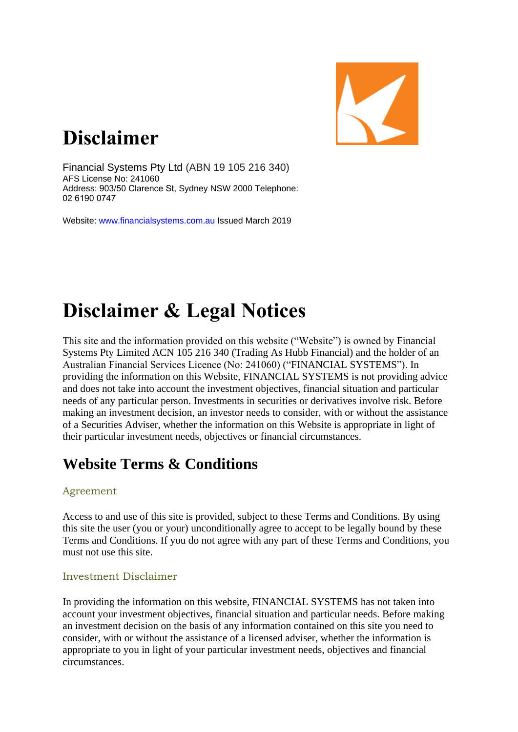

# **Disclaimer**

Financial Systems Pty Ltd (ABN 19 105 216 340) AFS License No: 241060 Address: 903/50 Clarence St, Sydney NSW 2000 Telephone: 02 6190 0747

Website: www.financialsystems.com.au Issued March 2019

# **Disclaimer & Legal Notices**

This site and the information provided on this website ("Website") is owned by Financial Systems Pty Limited ACN 105 216 340 (Trading As Hubb Financial) and the holder of an Australian Financial Services Licence (No: 241060) ("FINANCIAL SYSTEMS"). In providing the information on this Website, FINANCIAL SYSTEMS is not providing advice and does not take into account the investment objectives, financial situation and particular needs of any particular person. Investments in securities or derivatives involve risk. Before making an investment decision, an investor needs to consider, with or without the assistance of a Securities Adviser, whether the information on this Website is appropriate in light of their particular investment needs, objectives or financial circumstances.

# **Website Terms & Conditions**

#### Agreement

Access to and use of this site is provided, subject to these Terms and Conditions. By using this site the user (you or your) unconditionally agree to accept to be legally bound by these Terms and Conditions. If you do not agree with any part of these Terms and Conditions, you must not use this site.

#### Investment Disclaimer

In providing the information on this website, FINANCIAL SYSTEMS has not taken into account your investment objectives, financial situation and particular needs. Before making an investment decision on the basis of any information contained on this site you need to consider, with or without the assistance of a licensed adviser, whether the information is appropriate to you in light of your particular investment needs, objectives and financial circumstances.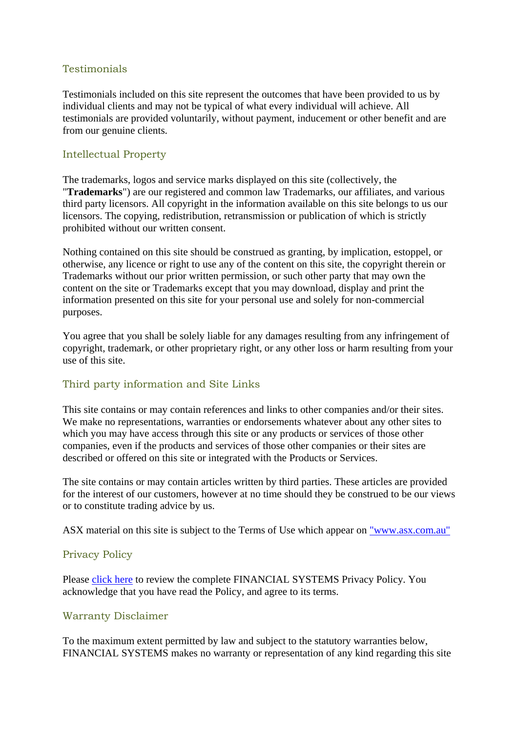# **Testimonials**

Testimonials included on this site represent the outcomes that have been provided to us by individual clients and may not be typical of what every individual will achieve. All testimonials are provided voluntarily, without payment, inducement or other benefit and are from our genuine clients.

# Intellectual Property

The trademarks, logos and service marks displayed on this site (collectively, the "**Trademarks**") are our registered and common law Trademarks, our affiliates, and various third party licensors. All copyright in the information available on this site belongs to us our licensors. The copying, redistribution, retransmission or publication of which is strictly prohibited without our written consent.

Nothing contained on this site should be construed as granting, by implication, estoppel, or otherwise, any licence or right to use any of the content on this site, the copyright therein or Trademarks without our prior written permission, or such other party that may own the content on the site or Trademarks except that you may download, display and print the information presented on this site for your personal use and solely for non-commercial purposes.

You agree that you shall be solely liable for any damages resulting from any infringement of copyright, trademark, or other proprietary right, or any other loss or harm resulting from your use of this site.

# Third party information and Site Links

This site contains or may contain references and links to other companies and/or their sites. We make no representations, warranties or endorsements whatever about any other sites to which you may have access through this site or any products or services of those other companies, even if the products and services of those other companies or their sites are described or offered on this site or integrated with the Products or Services.

The site contains or may contain articles written by third parties. These articles are provided for the interest of our customers, however at no time should they be construed to be our views or to constitute trading advice by us.

ASX material on this site is subject to the Terms of Use which appear on ["www.asx.com.au"](http://www.asx.com.au/)

#### Privacy Policy

Please [click here](http://www.hubb.com/Legal/Privacy.pdf) to review the complete FINANCIAL SYSTEMS Privacy Policy. You acknowledge that you have read the Policy, and agree to its terms.

# Warranty Disclaimer

To the maximum extent permitted by law and subject to the statutory warranties below, FINANCIAL SYSTEMS makes no warranty or representation of any kind regarding this site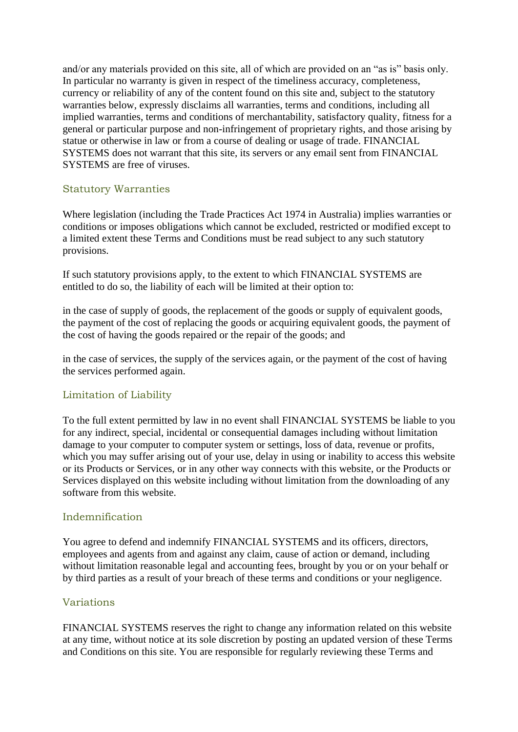and/or any materials provided on this site, all of which are provided on an "as is" basis only. In particular no warranty is given in respect of the timeliness accuracy, completeness, currency or reliability of any of the content found on this site and, subject to the statutory warranties below, expressly disclaims all warranties, terms and conditions, including all implied warranties, terms and conditions of merchantability, satisfactory quality, fitness for a general or particular purpose and non-infringement of proprietary rights, and those arising by statue or otherwise in law or from a course of dealing or usage of trade. FINANCIAL SYSTEMS does not warrant that this site, its servers or any email sent from FINANCIAL SYSTEMS are free of viruses.

# Statutory Warranties

Where legislation (including the Trade Practices Act 1974 in Australia) implies warranties or conditions or imposes obligations which cannot be excluded, restricted or modified except to a limited extent these Terms and Conditions must be read subject to any such statutory provisions.

If such statutory provisions apply, to the extent to which FINANCIAL SYSTEMS are entitled to do so, the liability of each will be limited at their option to:

in the case of supply of goods, the replacement of the goods or supply of equivalent goods, the payment of the cost of replacing the goods or acquiring equivalent goods, the payment of the cost of having the goods repaired or the repair of the goods; and

in the case of services, the supply of the services again, or the payment of the cost of having the services performed again.

#### Limitation of Liability

To the full extent permitted by law in no event shall FINANCIAL SYSTEMS be liable to you for any indirect, special, incidental or consequential damages including without limitation damage to your computer to computer system or settings, loss of data, revenue or profits, which you may suffer arising out of your use, delay in using or inability to access this website or its Products or Services, or in any other way connects with this website, or the Products or Services displayed on this website including without limitation from the downloading of any software from this website.

#### Indemnification

You agree to defend and indemnify FINANCIAL SYSTEMS and its officers, directors, employees and agents from and against any claim, cause of action or demand, including without limitation reasonable legal and accounting fees, brought by you or on your behalf or by third parties as a result of your breach of these terms and conditions or your negligence.

#### Variations

FINANCIAL SYSTEMS reserves the right to change any information related on this website at any time, without notice at its sole discretion by posting an updated version of these Terms and Conditions on this site. You are responsible for regularly reviewing these Terms and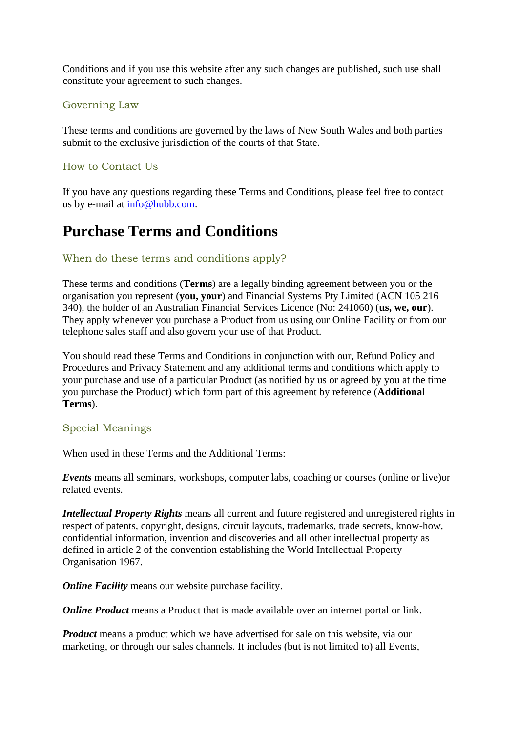Conditions and if you use this website after any such changes are published, such use shall constitute your agreement to such changes.

### Governing Law

These terms and conditions are governed by the laws of New South Wales and both parties submit to the exclusive jurisdiction of the courts of that State.

# How to Contact Us

If you have any questions regarding these Terms and Conditions, please feel free to contact us by e-mail at [info@hubb.com.](mailto:info@hubb.com)

# **Purchase Terms and Conditions**

# When do these terms and conditions apply?

These terms and conditions (**Terms**) are a legally binding agreement between you or the organisation you represent (**you, your**) and Financial Systems Pty Limited (ACN 105 216 340), the holder of an Australian Financial Services Licence (No: 241060) (**us, we, our**). They apply whenever you purchase a Product from us using our Online Facility or from our telephone sales staff and also govern your use of that Product.

You should read these Terms and Conditions in conjunction with our, Refund Policy and Procedures and Privacy Statement and any additional terms and conditions which apply to your purchase and use of a particular Product (as notified by us or agreed by you at the time you purchase the Product) which form part of this agreement by reference (**Additional Terms**).

#### Special Meanings

When used in these Terms and the Additional Terms:

*Events* means all seminars, workshops, computer labs, coaching or courses (online or live)or related events.

*Intellectual Property Rights* means all current and future registered and unregistered rights in respect of patents, copyright, designs, circuit layouts, trademarks, trade secrets, know-how, confidential information, invention and discoveries and all other intellectual property as defined in article 2 of the convention establishing the World Intellectual Property Organisation 1967.

*Online Facility* means our website purchase facility.

*Online Product* means a Product that is made available over an internet portal or link.

*Product* means a product which we have advertised for sale on this website, via our marketing, or through our sales channels. It includes (but is not limited to) all Events,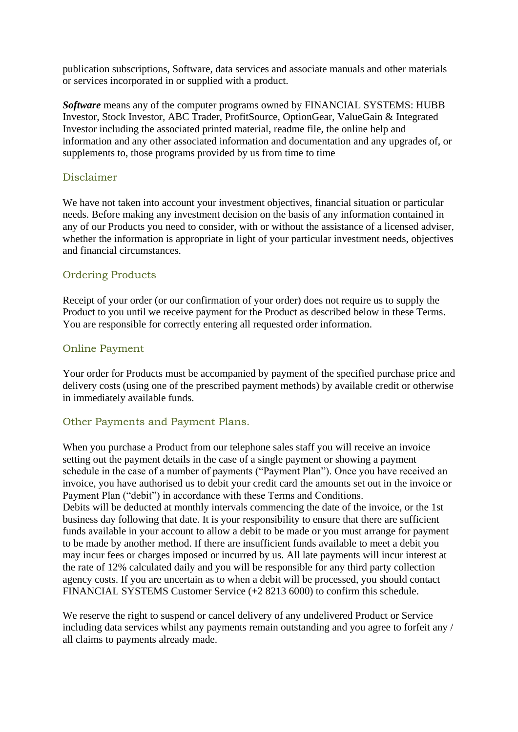publication subscriptions, Software, data services and associate manuals and other materials or services incorporated in or supplied with a product.

*Software* means any of the computer programs owned by FINANCIAL SYSTEMS: HUBB Investor, Stock Investor, ABC Trader, ProfitSource, OptionGear, ValueGain & Integrated Investor including the associated printed material, readme file, the online help and information and any other associated information and documentation and any upgrades of, or supplements to, those programs provided by us from time to time

### Disclaimer

We have not taken into account your investment objectives, financial situation or particular needs. Before making any investment decision on the basis of any information contained in any of our Products you need to consider, with or without the assistance of a licensed adviser, whether the information is appropriate in light of your particular investment needs, objectives and financial circumstances.

#### Ordering Products

Receipt of your order (or our confirmation of your order) does not require us to supply the Product to you until we receive payment for the Product as described below in these Terms. You are responsible for correctly entering all requested order information.

#### Online Payment

Your order for Products must be accompanied by payment of the specified purchase price and delivery costs (using one of the prescribed payment methods) by available credit or otherwise in immediately available funds.

# Other Payments and Payment Plans.

When you purchase a Product from our telephone sales staff you will receive an invoice setting out the payment details in the case of a single payment or showing a payment schedule in the case of a number of payments ("Payment Plan"). Once you have received an invoice, you have authorised us to debit your credit card the amounts set out in the invoice or Payment Plan ("debit") in accordance with these Terms and Conditions. Debits will be deducted at monthly intervals commencing the date of the invoice, or the 1st business day following that date. It is your responsibility to ensure that there are sufficient funds available in your account to allow a debit to be made or you must arrange for payment to be made by another method. If there are insufficient funds available to meet a debit you may incur fees or charges imposed or incurred by us. All late payments will incur interest at the rate of 12% calculated daily and you will be responsible for any third party collection agency costs. If you are uncertain as to when a debit will be processed, you should contact FINANCIAL SYSTEMS Customer Service (+2 8213 6000) to confirm this schedule.

We reserve the right to suspend or cancel delivery of any undelivered Product or Service including data services whilst any payments remain outstanding and you agree to forfeit any / all claims to payments already made.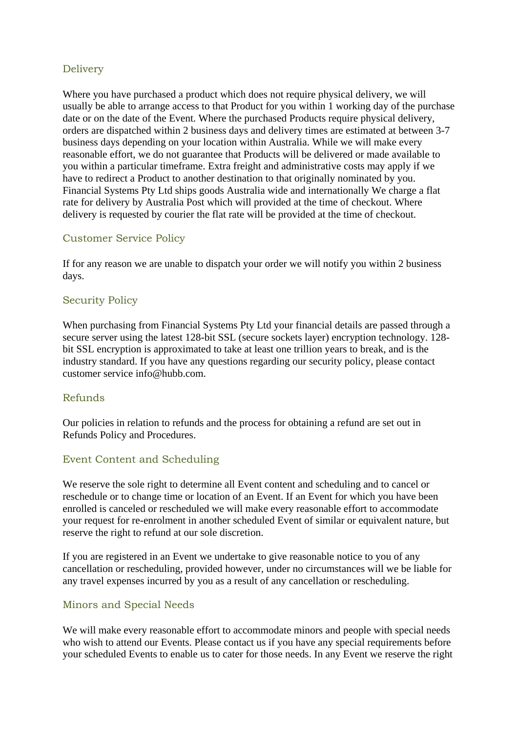# Delivery

Where you have purchased a product which does not require physical delivery, we will usually be able to arrange access to that Product for you within 1 working day of the purchase date or on the date of the Event. Where the purchased Products require physical delivery, orders are dispatched within 2 business days and delivery times are estimated at between 3-7 business days depending on your location within Australia. While we will make every reasonable effort, we do not guarantee that Products will be delivered or made available to you within a particular timeframe. Extra freight and administrative costs may apply if we have to redirect a Product to another destination to that originally nominated by you. Financial Systems Pty Ltd ships goods Australia wide and internationally We charge a flat rate for delivery by Australia Post which will provided at the time of checkout. Where delivery is requested by courier the flat rate will be provided at the time of checkout.

# Customer Service Policy

If for any reason we are unable to dispatch your order we will notify you within 2 business days.

# Security Policy

When purchasing from Financial Systems Pty Ltd your financial details are passed through a secure server using the latest 128-bit SSL (secure sockets layer) encryption technology. 128 bit SSL encryption is approximated to take at least one trillion years to break, and is the industry standard. If you have any questions regarding our security policy, please contact customer service info@hubb.com.

#### Refunds

Our policies in relation to refunds and the process for obtaining a refund are set out in Refunds Policy and Procedures.

#### Event Content and Scheduling

We reserve the sole right to determine all Event content and scheduling and to cancel or reschedule or to change time or location of an Event. If an Event for which you have been enrolled is canceled or rescheduled we will make every reasonable effort to accommodate your request for re-enrolment in another scheduled Event of similar or equivalent nature, but reserve the right to refund at our sole discretion.

If you are registered in an Event we undertake to give reasonable notice to you of any cancellation or rescheduling, provided however, under no circumstances will we be liable for any travel expenses incurred by you as a result of any cancellation or rescheduling.

#### Minors and Special Needs

We will make every reasonable effort to accommodate minors and people with special needs who wish to attend our Events. Please contact us if you have any special requirements before your scheduled Events to enable us to cater for those needs. In any Event we reserve the right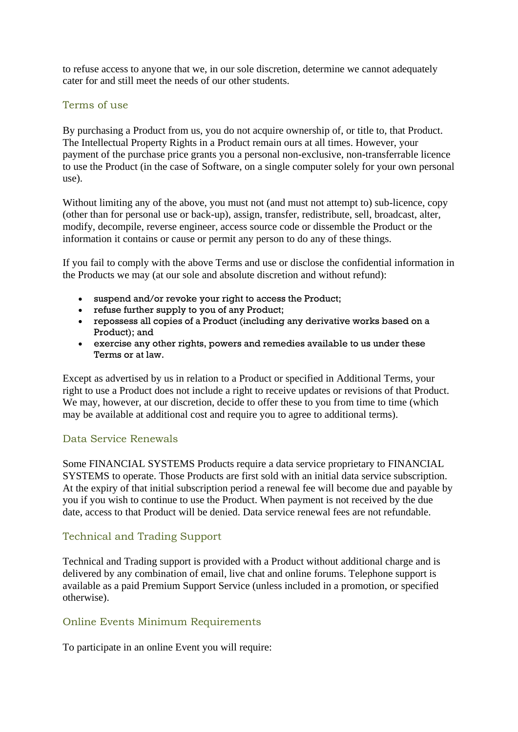to refuse access to anyone that we, in our sole discretion, determine we cannot adequately cater for and still meet the needs of our other students.

#### Terms of use

By purchasing a Product from us, you do not acquire ownership of, or title to, that Product. The Intellectual Property Rights in a Product remain ours at all times. However, your payment of the purchase price grants you a personal non-exclusive, non-transferrable licence to use the Product (in the case of Software, on a single computer solely for your own personal use).

Without limiting any of the above, you must not (and must not attempt to) sub-licence, copy (other than for personal use or back-up), assign, transfer, redistribute, sell, broadcast, alter, modify, decompile, reverse engineer, access source code or dissemble the Product or the information it contains or cause or permit any person to do any of these things.

If you fail to comply with the above Terms and use or disclose the confidential information in the Products we may (at our sole and absolute discretion and without refund):

- suspend and/or revoke your right to access the Product;
- refuse further supply to you of any Product;
- repossess all copies of a Product (including any derivative works based on a Product); and
- exercise any other rights, powers and remedies available to us under these Terms or at law.

Except as advertised by us in relation to a Product or specified in Additional Terms, your right to use a Product does not include a right to receive updates or revisions of that Product. We may, however, at our discretion, decide to offer these to you from time to time (which may be available at additional cost and require you to agree to additional terms).

#### Data Service Renewals

Some FINANCIAL SYSTEMS Products require a data service proprietary to FINANCIAL SYSTEMS to operate. Those Products are first sold with an initial data service subscription. At the expiry of that initial subscription period a renewal fee will become due and payable by you if you wish to continue to use the Product. When payment is not received by the due date, access to that Product will be denied. Data service renewal fees are not refundable.

#### Technical and Trading Support

Technical and Trading support is provided with a Product without additional charge and is delivered by any combination of email, live chat and online forums. Telephone support is available as a paid Premium Support Service (unless included in a promotion, or specified otherwise).

#### Online Events Minimum Requirements

To participate in an online Event you will require: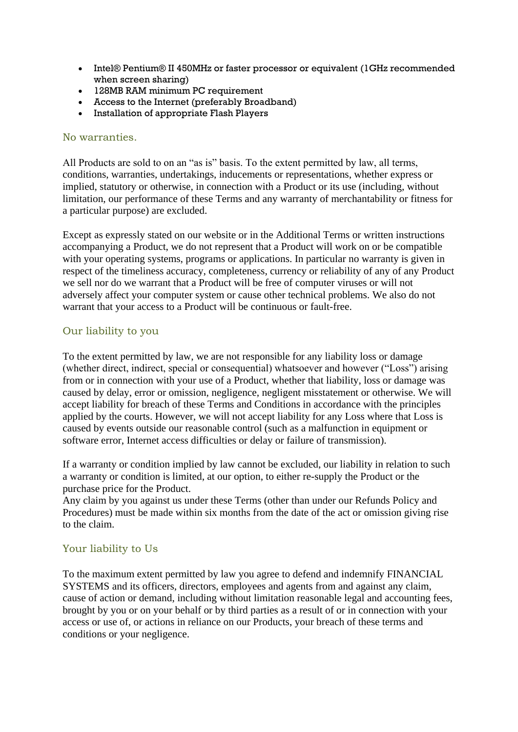- Intel® Pentium® II 450MHz or faster processor or equivalent (1GHz recommended when screen sharing)
- 128MB RAM minimum PC requirement
- Access to the Internet (preferably Broadband)
- Installation of appropriate Flash Players

#### No warranties.

All Products are sold to on an "as is" basis. To the extent permitted by law, all terms, conditions, warranties, undertakings, inducements or representations, whether express or implied, statutory or otherwise, in connection with a Product or its use (including, without limitation, our performance of these Terms and any warranty of merchantability or fitness for a particular purpose) are excluded.

Except as expressly stated on our website or in the Additional Terms or written instructions accompanying a Product, we do not represent that a Product will work on or be compatible with your operating systems, programs or applications. In particular no warranty is given in respect of the timeliness accuracy, completeness, currency or reliability of any of any Product we sell nor do we warrant that a Product will be free of computer viruses or will not adversely affect your computer system or cause other technical problems. We also do not warrant that your access to a Product will be continuous or fault-free.

# Our liability to you

To the extent permitted by law, we are not responsible for any liability loss or damage (whether direct, indirect, special or consequential) whatsoever and however ("Loss") arising from or in connection with your use of a Product, whether that liability, loss or damage was caused by delay, error or omission, negligence, negligent misstatement or otherwise. We will accept liability for breach of these Terms and Conditions in accordance with the principles applied by the courts. However, we will not accept liability for any Loss where that Loss is caused by events outside our reasonable control (such as a malfunction in equipment or software error, Internet access difficulties or delay or failure of transmission).

If a warranty or condition implied by law cannot be excluded, our liability in relation to such a warranty or condition is limited, at our option, to either re-supply the Product or the purchase price for the Product.

Any claim by you against us under these Terms (other than under our Refunds Policy and Procedures) must be made within six months from the date of the act or omission giving rise to the claim.

#### Your liability to Us

To the maximum extent permitted by law you agree to defend and indemnify FINANCIAL SYSTEMS and its officers, directors, employees and agents from and against any claim, cause of action or demand, including without limitation reasonable legal and accounting fees, brought by you or on your behalf or by third parties as a result of or in connection with your access or use of, or actions in reliance on our Products, your breach of these terms and conditions or your negligence.